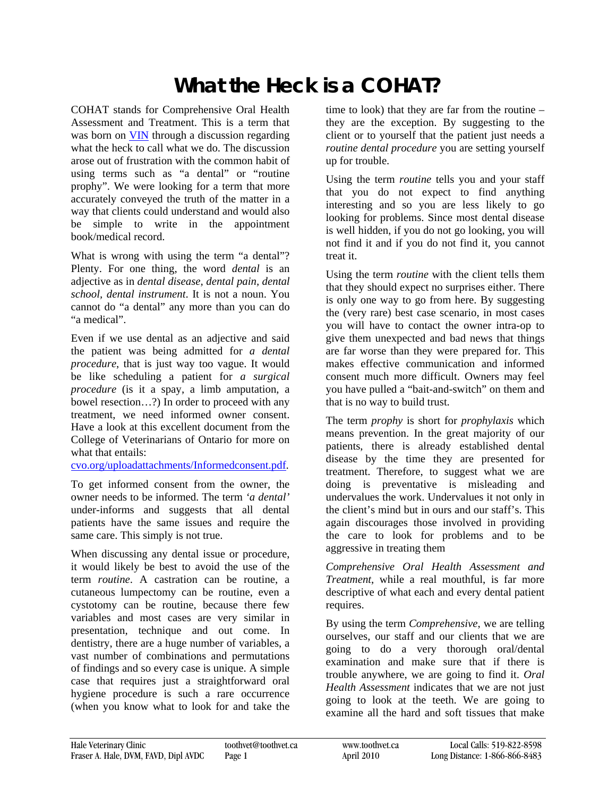## **What the Heck is a COHAT?**

COHAT stands for Comprehensive Oral Health Assessment and Treatment. This is a term that was born on [VIN](http://www.vin.com/) through a discussion regarding what the heck to call what we do. The discussion arose out of frustration with the common habit of using terms such as "a dental" or "routine prophy". We were looking for a term that more accurately conveyed the truth of the matter in a way that clients could understand and would also be simple to write in the appointment book/medical record.

What is wrong with using the term "a dental"? Plenty. For one thing, the word *dental* is an adjective as in *dental disease, dental pain, dental school, dental instrument*. It is not a noun. You cannot do "a dental" any more than you can do "a medical".

Even if we use dental as an adjective and said the patient was being admitted for *a dental procedure*, that is just way too vague. It would be like scheduling a patient for *a surgical procedure* (is it a spay, a limb amputation, a bowel resection…?) In order to proceed with any treatment, we need informed owner consent. Have a look at this excellent document from the College of Veterinarians of Ontario for more on what that entails:

[cvo.org/uploadattachments/Informedconsent.pdf](http://www.cvo.org/uploadattachments/Informedconsent.pdf).

To get informed consent from the owner, the owner needs to be informed. The term *'a dental'* under-informs and suggests that all dental patients have the same issues and require the same care. This simply is not true.

When discussing any dental issue or procedure, it would likely be best to avoid the use of the term *routine*. A castration can be routine, a cutaneous lumpectomy can be routine, even a cystotomy can be routine, because there few variables and most cases are very similar in presentation, technique and out come. In dentistry, there are a huge number of variables, a vast number of combinations and permutations of findings and so every case is unique. A simple case that requires just a straightforward oral hygiene procedure is such a rare occurrence (when you know what to look for and take the

time to look) that they are far from the routine – they are the exception. By suggesting to the client or to yourself that the patient just needs a *routine dental procedure* you are setting yourself up for trouble.

Using the term *routine* tells you and your staff that you do not expect to find anything interesting and so you are less likely to go looking for problems. Since most dental disease is well hidden, if you do not go looking, you will not find it and if you do not find it, you cannot treat it.

Using the term *routine* with the client tells them that they should expect no surprises either. There is only one way to go from here. By suggesting the (very rare) best case scenario, in most cases you will have to contact the owner intra-op to give them unexpected and bad news that things are far worse than they were prepared for. This makes effective communication and informed consent much more difficult. Owners may feel you have pulled a "bait-and-switch" on them and that is no way to build trust.

The term *prophy* is short for *prophylaxis* which means prevention. In the great majority of our patients, there is already established dental disease by the time they are presented for treatment. Therefore, to suggest what we are doing is preventative is misleading and undervalues the work. Undervalues it not only in the client's mind but in ours and our staff's. This again discourages those involved in providing the care to look for problems and to be aggressive in treating them

*Comprehensive Oral Health Assessment and Treatment*, while a real mouthful, is far more descriptive of what each and every dental patient requires.

By using the term *Comprehensive*, we are telling ourselves, our staff and our clients that we are going to do a very thorough oral/dental examination and make sure that if there is trouble anywhere, we are going to find it. *Oral Health Assessment* indicates that we are not just going to look at the teeth. We are going to examine all the hard and soft tissues that make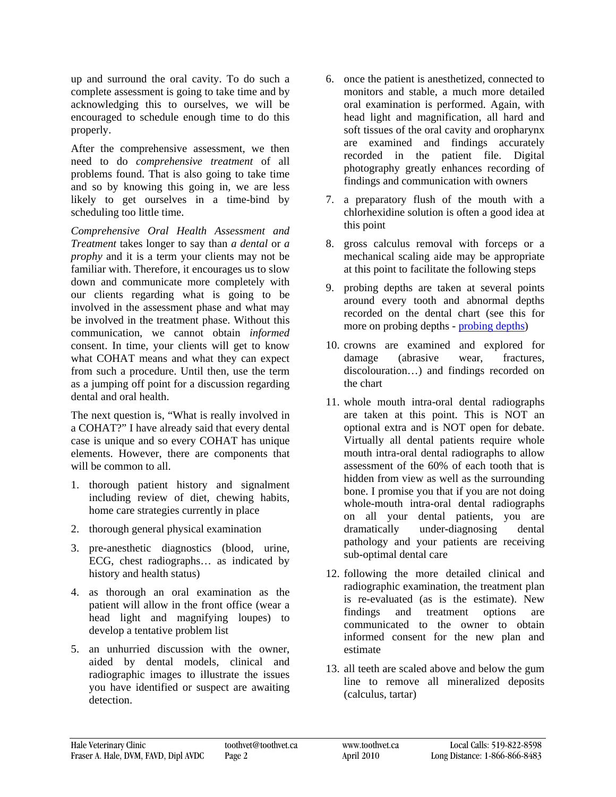up and surround the oral cavity. To do such a complete assessment is going to take time and by acknowledging this to ourselves, we will be encouraged to schedule enough time to do this properly.

After the comprehensive assessment, we then need to do *comprehensive treatment* of all problems found. That is also going to take time and so by knowing this going in, we are less likely to get ourselves in a time-bind by scheduling too little time.

*Comprehensive Oral Health Assessment and Treatment* takes longer to say than *a dental* or *a prophy* and it is a term your clients may not be familiar with. Therefore, it encourages us to slow down and communicate more completely with our clients regarding what is going to be involved in the assessment phase and what may be involved in the treatment phase. Without this communication, we cannot obtain *informed* consent. In time, your clients will get to know what COHAT means and what they can expect from such a procedure. Until then, use the term as a jumping off point for a discussion regarding dental and oral health.

The next question is, "What is really involved in a COHAT?" I have already said that every dental case is unique and so every COHAT has unique elements. However, there are components that will be common to all.

- 1. thorough patient history and signalment including review of diet, chewing habits, home care strategies currently in place
- 2. thorough general physical examination
- 3. pre-anesthetic diagnostics (blood, urine, ECG, chest radiographs… as indicated by history and health status)
- 4. as thorough an oral examination as the patient will allow in the front office (wear a head light and magnifying loupes) to develop a tentative problem list
- 5. an unhurried discussion with the owner, aided by dental models, clinical and radiographic images to illustrate the issues you have identified or suspect are awaiting detection.
- 6. once the patient is anesthetized, connected to monitors and stable, a much more detailed oral examination is performed. Again, with head light and magnification, all hard and soft tissues of the oral cavity and oropharynx are examined and findings accurately recorded in the patient file. Digital photography greatly enhances recording of findings and communication with owners
- 7. a preparatory flush of the mouth with a chlorhexidine solution is often a good idea at this point
- 8. gross calculus removal with forceps or a mechanical scaling aide may be appropriate at this point to facilitate the following steps
- 9. probing depths are taken at several points around every tooth and abnormal depths recorded on the dental chart (see this for more on probing depths - [probing depths\)](http://www.toothvet.ca/PDFfiles/probing.pdf)
- 10. crowns are examined and explored for damage (abrasive wear, fractures, discolouration…) and findings recorded on the chart
- 11. whole mouth intra-oral dental radiographs are taken at this point. This is NOT an optional extra and is NOT open for debate. Virtually all dental patients require whole mouth intra-oral dental radiographs to allow assessment of the 60% of each tooth that is hidden from view as well as the surrounding bone. I promise you that if you are not doing whole-mouth intra-oral dental radiographs on all your dental patients, you are dramatically under-diagnosing dental pathology and your patients are receiving sub-optimal dental care
- 12. following the more detailed clinical and radiographic examination, the treatment plan is re-evaluated (as is the estimate). New findings and treatment options are communicated to the owner to obtain informed consent for the new plan and estimate
- 13. all teeth are scaled above and below the gum line to remove all mineralized deposits (calculus, tartar)